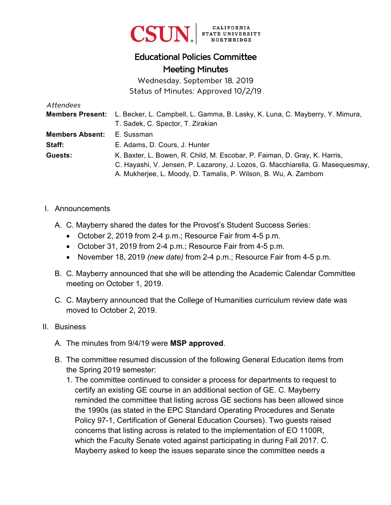

# Educational Policies Committee Meeting Minutes

Wednesday, September 18, 2019 Status of Minutes: Approved 10/2/19

| Attendees              |                                                                                               |
|------------------------|-----------------------------------------------------------------------------------------------|
|                        | Members Present: L. Becker, L. Campbell, L. Gamma, B. Lasky, K. Luna, C. Mayberry, Y. Mimura, |
|                        | T. Sadek, C. Spector, T. Zirakian                                                             |
| <b>Members Absent:</b> | E. Sussman                                                                                    |
| Staff:                 | E. Adams, D. Cours, J. Hunter                                                                 |
| Guests:                | K. Baxter, L. Bowen, R. Child, M. Escobar, P. Faiman, D. Gray, K. Harris,                     |
|                        | C. Hayashi, V. Jensen, P. Lazarony, J. Lozos, G. Macchiarella, G. Masequesmay,                |
|                        | A. Mukherjee, L. Moody, D. Tamalis, P. Wilson, B. Wu, A. Zambom                               |

- I. Announcements
	- A. C. Mayberry shared the dates for the Provost's Student Success Series:
		- October 2, 2019 from 2-4 p.m.; Resource Fair from 4-5 p.m.
		- October 31, 2019 from 2-4 p.m.; Resource Fair from 4-5 p.m.
		- November 18, 2019 *(new date)* from 2-4 p.m.; Resource Fair from 4-5 p.m.
	- B. C. Mayberry announced that she will be attending the Academic Calendar Committee meeting on October 1, 2019.
	- C. C. Mayberry announced that the College of Humanities curriculum review date was moved to October 2, 2019.

#### II. Business

- A. The minutes from 9/4/19 were **MSP approved**.
- B. The committee resumed discussion of the following General Education items from the Spring 2019 semester:
	- 1. The committee continued to consider a process for departments to request to certify an existing GE course in an additional section of GE. C. Mayberry reminded the committee that listing across GE sections has been allowed since the 1990s (as stated in the EPC Standard Operating Procedures and Senate Policy 97-1, Certification of General Education Courses). Two guests raised concerns that listing across is related to the implementation of EO 1100R, which the Faculty Senate voted against participating in during Fall 2017. C. Mayberry asked to keep the issues separate since the committee needs a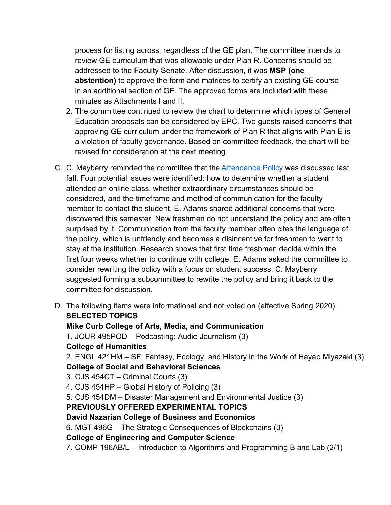process for listing across, regardless of the GE plan. The committee intends to review GE curriculum that was allowable under Plan R. Concerns should be addressed to the Faculty Senate. After discussion, it was **MSP (one abstention)** to approve the form and matrices to certify an existing GE course in an additional section of GE. The approved forms are included with these minutes as Attachments I and II.

- 2. The committee continued to review the chart to determine which types of General Education proposals can be considered by EPC. Two guests raised concerns that approving GE curriculum under the framework of Plan R that aligns with Plan E is a violation of faculty governance. Based on committee feedback, the chart will be revised for consideration at the next meeting.
- C. C. Mayberry reminded the committee that the [Attendance Policy](https://catalog.csun.edu/policies/attendance-class-attendance/) was discussed last fall. Four potential issues were identified: how to determine whether a student attended an online class, whether extraordinary circumstances should be considered, and the timeframe and method of communication for the faculty member to contact the student. E. Adams shared additional concerns that were discovered this semester. New freshmen do not understand the policy and are often surprised by it. Communication from the faculty member often cites the language of the policy, which is unfriendly and becomes a disincentive for freshmen to want to stay at the institution. Research shows that first time freshmen decide within the first four weeks whether to continue with college. E. Adams asked the committee to consider rewriting the policy with a focus on student success. C. Mayberry suggested forming a subcommittee to rewrite the policy and bring it back to the committee for discussion.
- D. The following items were informational and not voted on (effective Spring 2020). **SELECTED TOPICS Mike Curb College of Arts, Media, and Communication** 1. JOUR 495POD – Podcasting: Audio Journalism (3) **College of Humanities**  2. ENGL 421HM – SF, Fantasy, Ecology, and History in the Work of Hayao Miyazaki (3) **College of Social and Behavioral Sciences**  3. CJS 454CT – Criminal Courts (3) 4. CJS 454HP – Global History of Policing (3) 5. CJS 454DM – Disaster Management and Environmental Justice (3) **PREVIOUSLY OFFERED EXPERIMENTAL TOPICS David Nazarian College of Business and Economics** 6. MGT 496G – The Strategic Consequences of Blockchains (3) **College of Engineering and Computer Science**  7. COMP 196AB/L – Introduction to Algorithms and Programming B and Lab (2/1)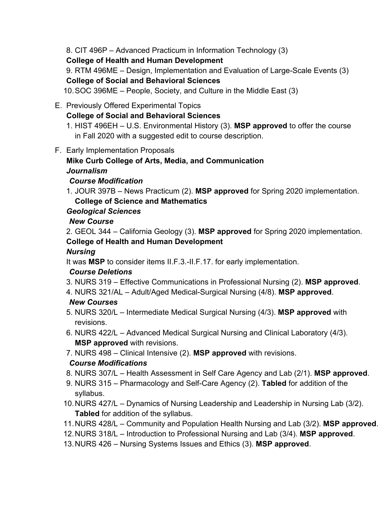8. CIT 496P – Advanced Practicum in Information Technology (3)

**College of Health and Human Development**

9. RTM 496ME – Design, Implementation and Evaluation of Large-Scale Events (3)

## **College of Social and Behavioral Sciences**

10. SOC 396ME – People, Society, and Culture in the Middle East (3)

- E. Previously Offered Experimental Topics
	- **College of Social and Behavioral Sciences**
	- 1. HIST 496EH U.S. Environmental History (3). **MSP approved** to offer the course in Fall 2020 with a suggested edit to course description.
- F. Early Implementation Proposals

# **Mike Curb College of Arts, Media, and Communication**

#### *Journalism*

### *Course Modification*

1. JOUR 397B – News Practicum (2). **MSP approved** for Spring 2020 implementation. **College of Science and Mathematics** 

#### *Geological Sciences*

#### *New Course*

2. GEOL 344 – California Geology (3). **MSP approved** for Spring 2020 implementation. **College of Health and Human Development** 

### *Nursing*

It was **MSP** to consider items II.F.3.-II.F.17. for early implementation.

### *Course Deletions*

- 3. NURS 319 Effective Communications in Professional Nursing (2). **MSP approved**.
- 4. NURS 321/AL Adult/Aged Medical-Surgical Nursing (4/8). **MSP approved**.

### *New Courses*

- 5. NURS 320/L Intermediate Medical Surgical Nursing (4/3). **MSP approved** with revisions.
- 6. NURS 422/L Advanced Medical Surgical Nursing and Clinical Laboratory (4/3). **MSP approved** with revisions.
- 7. NURS 498 Clinical Intensive (2). **MSP approved** with revisions.

### *Course Modifications*

- 8. NURS 307/L Health Assessment in Self Care Agency and Lab (2/1). **MSP approved**.
- 9. NURS 315 Pharmacology and Self-Care Agency (2). **Tabled** for addition of the syllabus.
- 10. NURS 427/L Dynamics of Nursing Leadership and Leadership in Nursing Lab (3/2). **Tabled** for addition of the syllabus.
- 11. NURS 428/L Community and Population Health Nursing and Lab (3/2). **MSP approved**.
- 12. NURS 318/L Introduction to Professional Nursing and Lab (3/4). **MSP approved**.
- 13. NURS 426 Nursing Systems Issues and Ethics (3). **MSP approved**.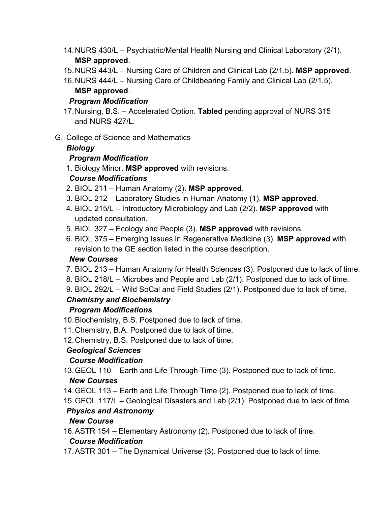- 14. NURS 430/L Psychiatric/Mental Health Nursing and Clinical Laboratory (2/1). **MSP approved**.
- 15. NURS 443/L Nursing Care of Children and Clinical Lab (2/1.5). **MSP approved**.

16. NURS 444/L – Nursing Care of Childbearing Family and Clinical Lab (2/1.5). **MSP approved**.

#### *Program Modification*

- 17. Nursing, B.S. Accelerated Option. **Tabled** pending approval of NURS 315 and NURS 427/L.
- G. College of Science and Mathematics

### *Biology*

#### *Program Modification*

1. Biology Minor. **MSP approved** with revisions.

### *Course Modifications*

- 2. BIOL 211 Human Anatomy (2). **MSP approved**.
- 3. BIOL 212 Laboratory Studies in Human Anatomy (1). **MSP approved**.
- 4. BIOL 215/L Introductory Microbiology and Lab (2/2). **MSP approved** with updated consultation.
- 5. BIOL 327 Ecology and People (3). **MSP approved** with revisions.
- 6. BIOL 375 Emerging Issues in Regenerative Medicine (3). **MSP approved** with revision to the GE section listed in the course description.

### *New Courses*

- 7. BIOL 213 Human Anatomy for Health Sciences (3). Postponed due to lack of time.
- 8. BIOL 218/L Microbes and People and Lab (2/1). Postponed due to lack of time.
- 9. BIOL 292/L Wild SoCal and Field Studies (2/1). Postponed due to lack of time.

## *Chemistry and Biochemistry*

### *Program Modifications*

- 10. Biochemistry, B.S. Postponed due to lack of time.
- 11. Chemistry, B.A. Postponed due to lack of time.
- 12. Chemistry, B.S. Postponed due to lack of time.

### *Geological Sciences*

### *Course Modification*

13. GEOL 110 – Earth and Life Through Time (3). Postponed due to lack of time.

## *New Courses*

- 14. GEOL 113 Earth and Life Through Time (2). Postponed due to lack of time.
- 15. GEOL 117/L Geological Disasters and Lab (2/1). Postponed due to lack of time.

## *Physics and Astronomy*

### *New Course*

16. ASTR 154 – Elementary Astronomy (2). Postponed due to lack of time.

### *Course Modification*

17. ASTR 301 – The Dynamical Universe (3). Postponed due to lack of time.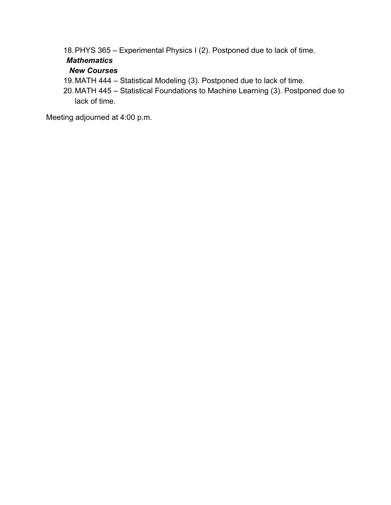18. PHYS 365 – Experimental Physics I (2). Postponed due to lack of time.

#### *Mathematics*

#### *New Courses*

- 19.MATH 444 Statistical Modeling (3). Postponed due to lack of time.
- 20. MATH 445 Statistical Foundations to Machine Learning (3). Postponed due to lack of time.

Meeting adjourned at 4:00 p.m.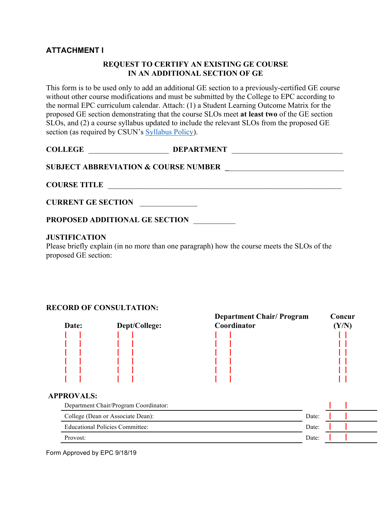#### **ATTACHMENT I**

#### **REQUEST TO CERTIFY AN EXISTING GE COURSE IN AN ADDITIONAL SECTION OF GE**

This form is to be used only to add an additional GE section to a previously-certified GE course without other course modifications and must be submitted by the College to EPC according to the normal EPC curriculum calendar. Attach: (1) a Student Learning Outcome Matrix for the proposed GE section demonstrating that the course SLOs meet **at least two** of the GE section SLOs, and (2) a course syllabus updated to include the relevant SLOs from the proposed GE section (as required by CSUN's [Syllabus Policy\)](https://www.csun.edu/sites/default/files/csun-syllabus.pdf).

| <b>COLLEGE</b> | <b>DEPARTMENT</b>                               |  |
|----------------|-------------------------------------------------|--|
|                | <b>SUBJECT ABBREVIATION &amp; COURSE NUMBER</b> |  |

**COURSE TITLE** 

| <b>CURRENT GE SECTION</b> |  |
|---------------------------|--|
|                           |  |

**PROPOSED ADDITIONAL GE SECTION** \_\_\_\_\_\_\_\_\_\_\_

#### **JUSTIFICATION**

Please briefly explain (in no more than one paragraph) how the course meets the SLOs of the proposed GE section:

#### **RECORD OF CONSULTATION:**

| Date: | Dept/College: | <b>Department Chair/Program</b><br>Coordinator | Concur |
|-------|---------------|------------------------------------------------|--------|
|       |               |                                                |        |
|       |               |                                                |        |
|       |               |                                                |        |
|       |               |                                                |        |
|       |               |                                                |        |
|       |               |                                                |        |

#### **APPROVALS:**

| Department Chair/Program Coordinator: |       |  |
|---------------------------------------|-------|--|
| College (Dean or Associate Dean):     | Date: |  |
| Educational Policies Committee:       | Date: |  |
| Provost:                              | Date: |  |

Form Approved by EPC 9/18/19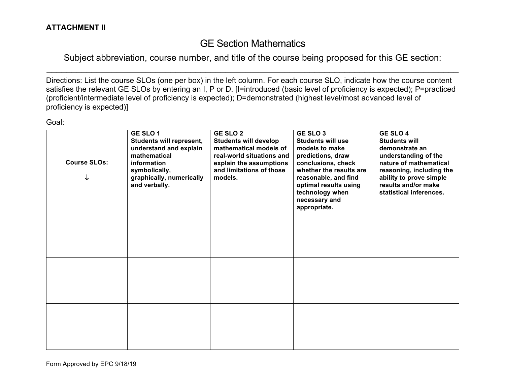# GE Section Mathematics

Subject abbreviation, course number, and title of the course being proposed for this GE section:  $\mathcal{L}_\mathcal{L} = \mathcal{L}_\mathcal{L} = \mathcal{L}_\mathcal{L} = \mathcal{L}_\mathcal{L} = \mathcal{L}_\mathcal{L} = \mathcal{L}_\mathcal{L} = \mathcal{L}_\mathcal{L} = \mathcal{L}_\mathcal{L} = \mathcal{L}_\mathcal{L} = \mathcal{L}_\mathcal{L} = \mathcal{L}_\mathcal{L} = \mathcal{L}_\mathcal{L} = \mathcal{L}_\mathcal{L} = \mathcal{L}_\mathcal{L} = \mathcal{L}_\mathcal{L} = \mathcal{L}_\mathcal{L} = \mathcal{L}_\mathcal{L}$ 

Directions: List the course SLOs (one per box) in the left column. For each course SLO, indicate how the course content satisfies the relevant GE SLOs by entering an I, P or D. [I=introduced (basic level of proficiency is expected); P=practiced (proficient/intermediate level of proficiency is expected); D=demonstrated (highest level/most advanced level of proficiency is expected)]

| Goal:               |                                                                                                                                                            |                                                                                                                                                                          |                                                                                                                                                                                                                                              |                                                                                                                                                                                                               |
|---------------------|------------------------------------------------------------------------------------------------------------------------------------------------------------|--------------------------------------------------------------------------------------------------------------------------------------------------------------------------|----------------------------------------------------------------------------------------------------------------------------------------------------------------------------------------------------------------------------------------------|---------------------------------------------------------------------------------------------------------------------------------------------------------------------------------------------------------------|
| <b>Course SLOs:</b> | GE SLO1<br>Students will represent,<br>understand and explain<br>mathematical<br>information<br>symbolically,<br>graphically, numerically<br>and verbally. | <b>GE SLO 2</b><br><b>Students will develop</b><br>mathematical models of<br>real-world situations and<br>explain the assumptions<br>and limitations of those<br>models. | GE SLO <sub>3</sub><br><b>Students will use</b><br>models to make<br>predictions, draw<br>conclusions, check<br>whether the results are<br>reasonable, and find<br>optimal results using<br>technology when<br>necessary and<br>appropriate. | GE SLO 4<br><b>Students will</b><br>demonstrate an<br>understanding of the<br>nature of mathematical<br>reasoning, including the<br>ability to prove simple<br>results and/or make<br>statistical inferences. |
|                     |                                                                                                                                                            |                                                                                                                                                                          |                                                                                                                                                                                                                                              |                                                                                                                                                                                                               |
|                     |                                                                                                                                                            |                                                                                                                                                                          |                                                                                                                                                                                                                                              |                                                                                                                                                                                                               |
|                     |                                                                                                                                                            |                                                                                                                                                                          |                                                                                                                                                                                                                                              |                                                                                                                                                                                                               |

Form Approved by EPC 9/18/19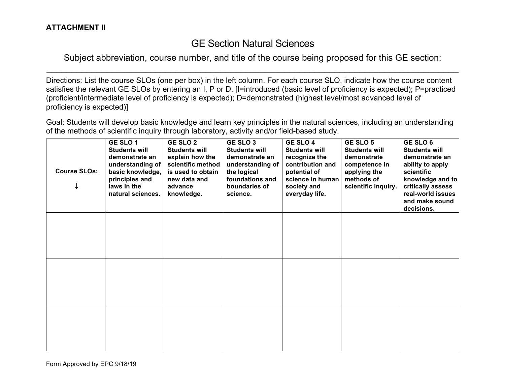## GE Section Natural Sciences

Subject abbreviation, course number, and title of the course being proposed for this GE section:  $\mathcal{L}_\mathcal{L} = \mathcal{L}_\mathcal{L} = \mathcal{L}_\mathcal{L} = \mathcal{L}_\mathcal{L} = \mathcal{L}_\mathcal{L} = \mathcal{L}_\mathcal{L} = \mathcal{L}_\mathcal{L} = \mathcal{L}_\mathcal{L} = \mathcal{L}_\mathcal{L} = \mathcal{L}_\mathcal{L} = \mathcal{L}_\mathcal{L} = \mathcal{L}_\mathcal{L} = \mathcal{L}_\mathcal{L} = \mathcal{L}_\mathcal{L} = \mathcal{L}_\mathcal{L} = \mathcal{L}_\mathcal{L} = \mathcal{L}_\mathcal{L}$ 

Directions: List the course SLOs (one per box) in the left column. For each course SLO, indicate how the course content satisfies the relevant GE SLOs by entering an I, P or D. [I=introduced (basic level of proficiency is expected); P=practiced (proficient/intermediate level of proficiency is expected); D=demonstrated (highest level/most advanced level of proficiency is expected)]

Goal: Students will develop basic knowledge and learn key principles in the natural sciences, including an understanding of the methods of scientific inquiry through laboratory, activity and/or field-based study.

| <b>Course SLOs:</b><br>↓ | GE SLO 1<br><b>Students will</b><br>demonstrate an<br>understanding of<br>basic knowledge,<br>principles and<br>laws in the<br>natural sciences. | <b>GE SLO 2</b><br><b>Students will</b><br>explain how the<br>scientific method<br>is used to obtain<br>new data and<br>advance<br>knowledge. | GE SLO <sub>3</sub><br><b>Students will</b><br>demonstrate an<br>understanding of<br>the logical<br>foundations and<br>boundaries of<br>science. | <b>GE SLO 4</b><br><b>Students will</b><br>recognize the<br>contribution and<br>potential of<br>science in human<br>society and<br>everyday life. | GE SLO 5<br><b>Students will</b><br>demonstrate<br>competence in<br>applying the<br>methods of<br>scientific inquiry. | GE SLO 6<br><b>Students will</b><br>demonstrate an<br>ability to apply<br>scientific<br>knowledge and to<br>critically assess<br>real-world issues<br>and make sound<br>decisions. |
|--------------------------|--------------------------------------------------------------------------------------------------------------------------------------------------|-----------------------------------------------------------------------------------------------------------------------------------------------|--------------------------------------------------------------------------------------------------------------------------------------------------|---------------------------------------------------------------------------------------------------------------------------------------------------|-----------------------------------------------------------------------------------------------------------------------|------------------------------------------------------------------------------------------------------------------------------------------------------------------------------------|
|                          |                                                                                                                                                  |                                                                                                                                               |                                                                                                                                                  |                                                                                                                                                   |                                                                                                                       |                                                                                                                                                                                    |
|                          |                                                                                                                                                  |                                                                                                                                               |                                                                                                                                                  |                                                                                                                                                   |                                                                                                                       |                                                                                                                                                                                    |
|                          |                                                                                                                                                  |                                                                                                                                               |                                                                                                                                                  |                                                                                                                                                   |                                                                                                                       |                                                                                                                                                                                    |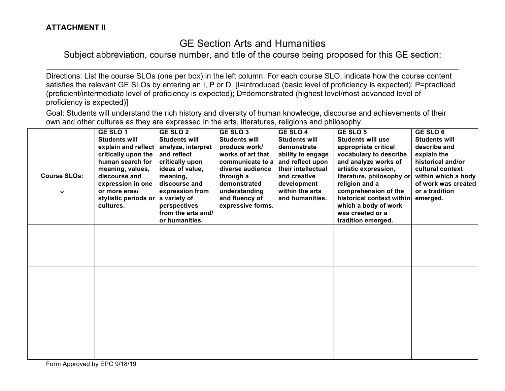# GE Section Arts and Humanities

Subject abbreviation, course number, and title of the course being proposed for this GE section:  $\mathcal{L}_\mathcal{L} = \mathcal{L}_\mathcal{L} = \mathcal{L}_\mathcal{L} = \mathcal{L}_\mathcal{L} = \mathcal{L}_\mathcal{L} = \mathcal{L}_\mathcal{L} = \mathcal{L}_\mathcal{L} = \mathcal{L}_\mathcal{L} = \mathcal{L}_\mathcal{L} = \mathcal{L}_\mathcal{L} = \mathcal{L}_\mathcal{L} = \mathcal{L}_\mathcal{L} = \mathcal{L}_\mathcal{L} = \mathcal{L}_\mathcal{L} = \mathcal{L}_\mathcal{L} = \mathcal{L}_\mathcal{L} = \mathcal{L}_\mathcal{L}$ 

Directions: List the course SLOs (one per box) in the left column. For each course SLO, indicate how the course content satisfies the relevant GE SLOs by entering an I, P or D. [I=introduced (basic level of proficiency is expected); P=practiced (proficient/intermediate level of proficiency is expected); D=demonstrated (highest level/most advanced level of proficiency is expected)]

Goal: Students will understand the rich history and diversity of human knowledge, discourse and achievements of their own and other cultures as they are expressed in the arts, literatures, religions and philosophy.

| <b>Course SLOs:</b> | GE SLO1<br><b>Students will</b><br>explain and reflect<br>critically upon the<br>human search for<br>meaning, values,<br>discourse and<br>expression in one<br>or more eras/<br>stylistic periods or<br>cultures. | <b>GE SLO 2</b><br><b>Students will</b><br>analyze, interpret<br>and reflect<br>critically upon<br>ideas of value,<br>meaning,<br>discourse and<br>expression from<br>a variety of<br>perspectives<br>from the arts and/<br>or humanities. | GE SLO <sub>3</sub><br><b>Students will</b><br>produce work/<br>works of art that<br>communicate to a<br>diverse audience<br>through a<br>demonstrated<br>understanding<br>and fluency of<br>expressive forms. | GE SLO 4<br><b>Students will</b><br>demonstrate<br>ability to engage<br>and reflect upon<br>their intellectual<br>and creative<br>development<br>within the arts<br>and humanities. | GE SLO 5<br><b>Students will use</b><br>appropriate critical<br>vocabulary to describe<br>and analyze works of<br>artistic expression,<br>literature, philosophy or<br>religion and a<br>comprehension of the<br>historical context within<br>which a body of work<br>was created or a<br>tradition emerged. | GE SLO 6<br><b>Students will</b><br>describe and<br>explain the<br>historical and/or<br>cultural context<br>within which a body<br>of work was created<br>or a tradition<br>emerged. |
|---------------------|-------------------------------------------------------------------------------------------------------------------------------------------------------------------------------------------------------------------|--------------------------------------------------------------------------------------------------------------------------------------------------------------------------------------------------------------------------------------------|----------------------------------------------------------------------------------------------------------------------------------------------------------------------------------------------------------------|-------------------------------------------------------------------------------------------------------------------------------------------------------------------------------------|--------------------------------------------------------------------------------------------------------------------------------------------------------------------------------------------------------------------------------------------------------------------------------------------------------------|--------------------------------------------------------------------------------------------------------------------------------------------------------------------------------------|
|                     |                                                                                                                                                                                                                   |                                                                                                                                                                                                                                            |                                                                                                                                                                                                                |                                                                                                                                                                                     |                                                                                                                                                                                                                                                                                                              |                                                                                                                                                                                      |
|                     |                                                                                                                                                                                                                   |                                                                                                                                                                                                                                            |                                                                                                                                                                                                                |                                                                                                                                                                                     |                                                                                                                                                                                                                                                                                                              |                                                                                                                                                                                      |
|                     |                                                                                                                                                                                                                   |                                                                                                                                                                                                                                            |                                                                                                                                                                                                                |                                                                                                                                                                                     |                                                                                                                                                                                                                                                                                                              |                                                                                                                                                                                      |

Form Approved by EPC 9/18/19